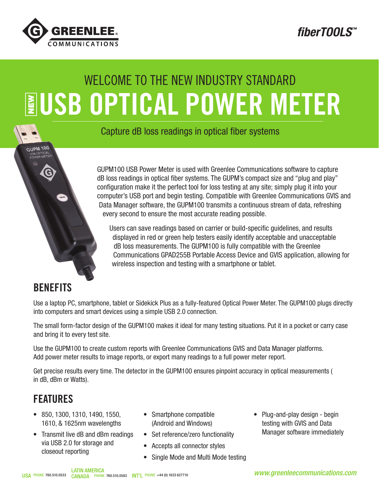

*fiberTOOLS™*

# **EUSB OPTICAL POWER METER** WELCOME TO THE NEW INDUSTRY STANDARD

Capture dB loss readings in optical fiber systems

GUPM100 USB Power Meter is used with Greenlee Communications software to capture dB loss readings in optical fiber systems. The GUPM's compact size and "plug and play" configuration make it the perfect tool for loss testing at any site; simply plug it into your computer's USB port and begin testing. Compatible with Greenlee Communications GVIS and Data Manager software, the GUPM100 transmits a continuous stream of data, refreshing every second to ensure the most accurate reading possible.

Users can save readings based on carrier or build-specific guidelines, and results displayed in red or green help testers easily identify acceptable and unacceptable dB loss measurements. The GUPM100 is fully compatible with the Greenlee Communications GPAD255B Portable Access Device and GVIS application, allowing for wireless inspection and testing with a smartphone or tablet.

#### **BENEFITS**

GUPM 100

Use a laptop PC, smartphone, tablet or Sidekick Plus as a fully-featured Optical Power Meter. The GUPM100 plugs directly into computers and smart devices using a simple USB 2.0 connection.

The small form-factor design of the GUPM100 makes it ideal for many testing situations. Put it in a pocket or carry case and bring it to every test site.

Use the GUPM100 to create custom reports with Greenlee Communications GVIS and Data Manager platforms. Add power meter results to image reports, or export many readings to a full power meter report.

Get precise results every time. The detector in the GUPM100 ensures pinpoint accuracy in optical measurements ( in dB, dBm or Watts).

### FEATURES

- 850, 1300, 1310, 1490, 1550, 1610, & 1625nm wavelengths
- Transmit live dB and dBm readings via USB 2.0 for storage and closeout reporting
- Smartphone compatible (Android and Windows)
- Set reference/zero functionality
- Accepts all connector styles
- Single Mode and Multi Mode testing
- Plug-and-play design begin testing with GVIS and Data Manager software immediately